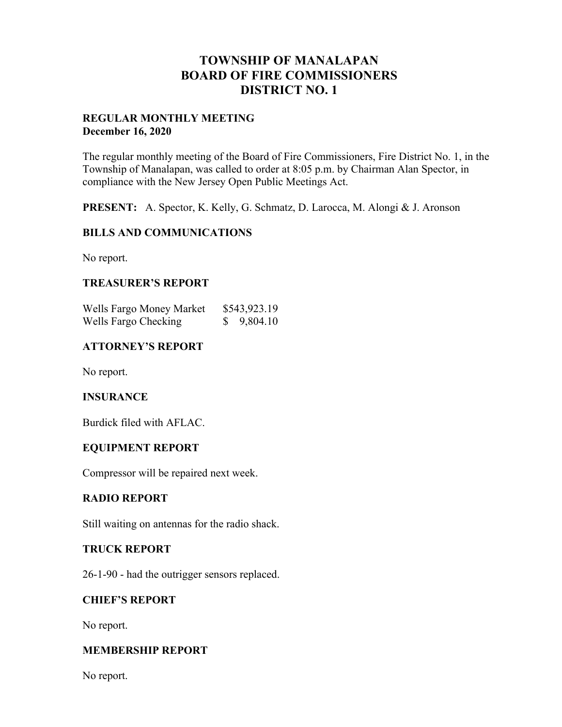## **TOWNSHIP OF MANALAPAN BOARD OF FIRE COMMISSIONERS DISTRICT NO. 1**

### **REGULAR MONTHLY MEETING December 16, 2020**

The regular monthly meeting of the Board of Fire Commissioners, Fire District No. 1, in the Township of Manalapan, was called to order at 8:05 p.m. by Chairman Alan Spector, in compliance with the New Jersey Open Public Meetings Act.

**PRESENT:** A. Spector, K. Kelly, G. Schmatz, D. Larocca, M. Alongi & J. Aronson

### **BILLS AND COMMUNICATIONS**

No report.

## **TREASURER'S REPORT**

| Wells Fargo Money Market | \$543,923.19 |
|--------------------------|--------------|
| Wells Fargo Checking     | \$9,804.10   |

## **ATTORNEY'S REPORT**

No report.

#### **INSURANCE**

Burdick filed with AFLAC.

#### **EQUIPMENT REPORT**

Compressor will be repaired next week.

#### **RADIO REPORT**

Still waiting on antennas for the radio shack.

#### **TRUCK REPORT**

26-1-90 - had the outrigger sensors replaced.

#### **CHIEF'S REPORT**

No report.

#### **MEMBERSHIP REPORT**

No report.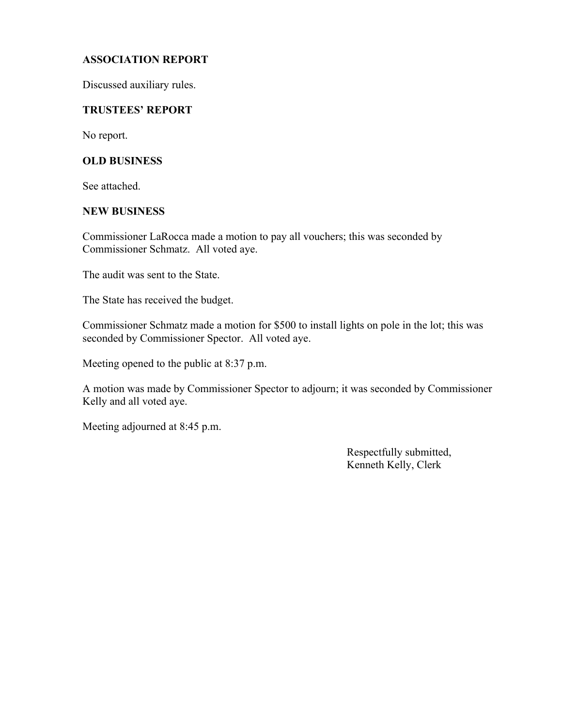### **ASSOCIATION REPORT**

Discussed auxiliary rules.

#### **TRUSTEES' REPORT**

No report.

#### **OLD BUSINESS**

See attached.

#### **NEW BUSINESS**

Commissioner LaRocca made a motion to pay all vouchers; this was seconded by Commissioner Schmatz. All voted aye.

The audit was sent to the State.

The State has received the budget.

Commissioner Schmatz made a motion for \$500 to install lights on pole in the lot; this was seconded by Commissioner Spector. All voted aye.

Meeting opened to the public at 8:37 p.m.

A motion was made by Commissioner Spector to adjourn; it was seconded by Commissioner Kelly and all voted aye.

Meeting adjourned at 8:45 p.m.

 Respectfully submitted, Kenneth Kelly, Clerk